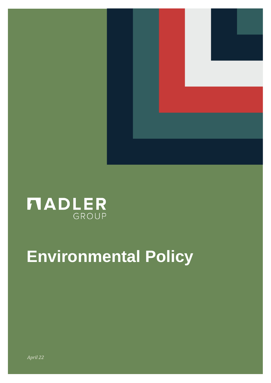

# **NADLER**

# **Environmental Policy**

*April 22*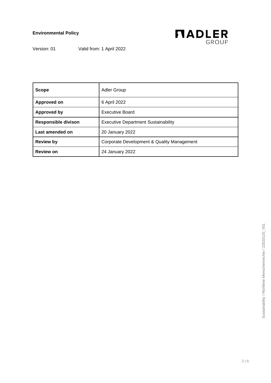

Version: 01 Valid from: 1 April 2022

| <b>Scope</b>               | <b>Adler Group</b>                         |
|----------------------------|--------------------------------------------|
| Approved on                | 6 April 2022                               |
| <b>Approved by</b>         | <b>Executive Board</b>                     |
| <b>Responsible divison</b> | <b>Executive Department Sustainability</b> |
| Last amended on            | 20 January 2022                            |
| <b>Review by</b>           | Corporate Development & Quality Management |
| <b>Review on</b>           | 24 January 2022                            |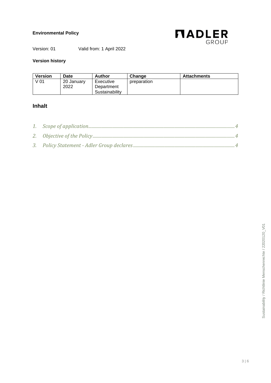

Version: 01 Valid from: 1 April 2022

#### **Version history**

| <b>Version</b> | Date               | Author                                    | Change      | <b>Attachments</b> |
|----------------|--------------------|-------------------------------------------|-------------|--------------------|
| V 01           | 20 January<br>2022 | Executive<br>Department<br>Sustainability | preparation |                    |

#### **Inhalt**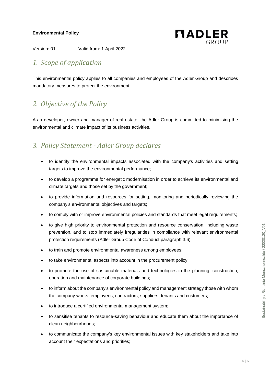

Version: 01 Valid from: 1 April 2022

# <span id="page-3-0"></span>*1. Scope of application*

This environmental policy applies to all companies and employees of the Adler Group and describes mandatory measures to protect the environment.

## <span id="page-3-1"></span>*2. Objective of the Policy*

As a developer, owner and manager of real estate, the Adler Group is committed to minimising the environmental and climate impact of its business activities.

### <span id="page-3-2"></span>*3. Policy Statement - Adler Group declares*

- to identify the environmental impacts associated with the company's activities and setting targets to improve the environmental performance;
- to develop a programme for energetic modernisation in order to achieve its environmental and climate targets and those set by the government;
- to provide information and resources for setting, monitoring and periodically reviewing the company's environmental objectives and targets;
- to comply with or improve environmental policies and standards that meet legal requirements;
- to give high priority to environmental protection and resource conservation, including waste prevention, and to stop immediately irregularities in compliance with relevant environmental protection requirements (Adler Group Code of Conduct paragraph 3.6)
- to train and promote environmental awareness among employees;
- to take environmental aspects into account in the procurement policy;
- to promote the use of sustainable materials and technologies in the planning, construction, operation and maintenance of corporate buildings;
- to inform about the company's environmental policy and management strategy those with whom the company works; employees, contractors, suppliers, tenants and customers;
- to introduce a certified environmental management system;
- to sensitise tenants to resource-saving behaviour and educate them about the importance of clean neighbourhoods;
- to communicate the company's key environmental issues with key stakeholders and take into account their expectations and priorities;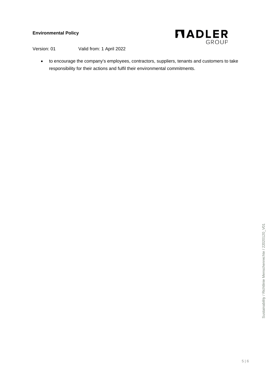

Version: 01 Valid from: 1 April 2022

• to encourage the company's employees, contractors, suppliers, tenants and customers to take responsibility for their actions and fulfil their environmental commitments.